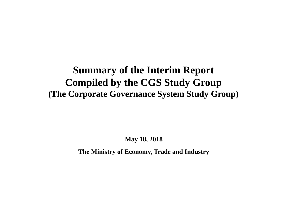# **Summary of the Interim Report Compiled by the CGS Study Group (The Corporate Governance System Study Group)**

**May 18, 2018**

**The Ministry of Economy, Trade and Industry**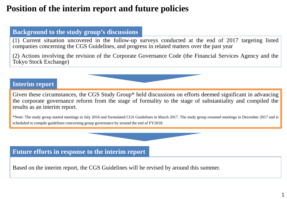## **Position of the interim report and future policies**

#### **Background to the study group's discussions**

(1) Current situation uncovered in the follow-up surveys conducted at the end of 2017 targeting listed companies concerning the CGS Guidelines, and progress in related matters over the past year

(2) Actions involving the revision of the Corporate Governance Code (the Financial Services Agency and the Tokyo Stock Exchange)

### **Interim report**

Given these circumstances, the CGS Study Group\* held discussions on efforts deemed significant in advancing the corporate governance reform from the stage of formality to the stage of substantiality and compiled the results as an interim report.

\*Note: The study group started meetings in July 2016 and formulated CGS Guidelines in March 2017. The study group resumed meetings in December 2017 and is scheduled to compile guidelines concerning group governance by around the end of FY2018.

**Future efforts in response to the interim report**

Based on the interim report, the CGS Guidelines will be revised by around this summer.